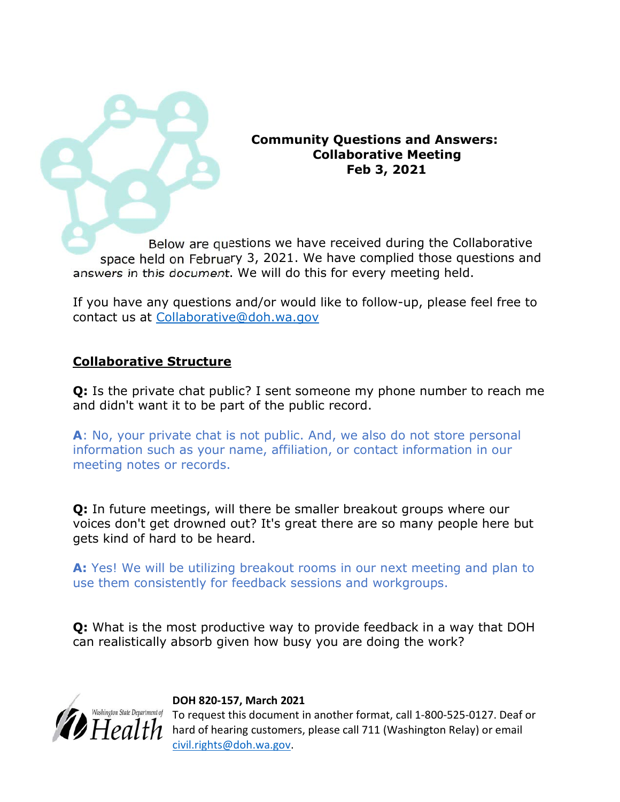Community Questions and Answers: Collaborative Meeting Feb 3, 2021

Below are questions we have received during the Collaborative space held on February 3, 2021. We have complied those questions and answers in this document. We will do this for every meeting held.

If you have any questions and/or would like to follow-up, please feel free to contact us at Collaborative@doh.wa.gov

## Collaborative Structure

**Q:** Is the private chat public? I sent someone my phone number to reach me and didn't want it to be part of the public record.

A: No, your private chat is not public. And, we also do not store personal information such as your name, affiliation, or contact information in our meeting notes or records.

Q: In future meetings, will there be smaller breakout groups where our voices don't get drowned out? It's great there are so many people here but gets kind of hard to be heard.

A: Yes! We will be utilizing breakout rooms in our next meeting and plan to use them consistently for feedback sessions and workgroups.

Q: What is the most productive way to provide feedback in a way that DOH can realistically absorb given how busy you are doing the work?



#### DOH 820-157, March 2021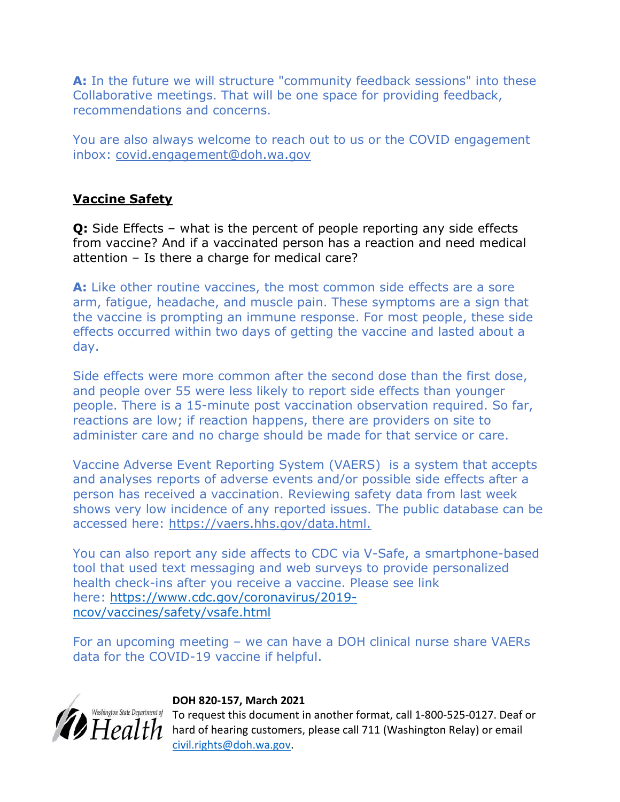A: In the future we will structure "community feedback sessions" into these Collaborative meetings. That will be one space for providing feedback, recommendations and concerns.

You are also always welcome to reach out to us or the COVID engagement inbox: covid.engagement@doh.wa.gov

# Vaccine Safety

Q: Side Effects – what is the percent of people reporting any side effects from vaccine? And if a vaccinated person has a reaction and need medical attention – Is there a charge for medical care?

A: Like other routine vaccines, the most common side effects are a sore arm, fatigue, headache, and muscle pain. These symptoms are a sign that the vaccine is prompting an immune response. For most people, these side effects occurred within two days of getting the vaccine and lasted about a day.

Side effects were more common after the second dose than the first dose, and people over 55 were less likely to report side effects than younger people. There is a 15-minute post vaccination observation required. So far, reactions are low; if reaction happens, there are providers on site to administer care and no charge should be made for that service or care.

Vaccine Adverse Event Reporting System (VAERS) is a system that accepts and analyses reports of adverse events and/or possible side effects after a person has received a vaccination. Reviewing safety data from last week shows very low incidence of any reported issues. The public database can be accessed here: https://vaers.hhs.gov/data.html.

You can also report any side affects to CDC via V-Safe, a smartphone-based tool that used text messaging and web surveys to provide personalized health check-ins after you receive a vaccine. Please see link here: https://www.cdc.gov/coronavirus/2019 ncov/vaccines/safety/vsafe.html

For an upcoming meeting – we can have a DOH clinical nurse share VAERs data for the COVID-19 vaccine if helpful.



## DOH 820-157, March 2021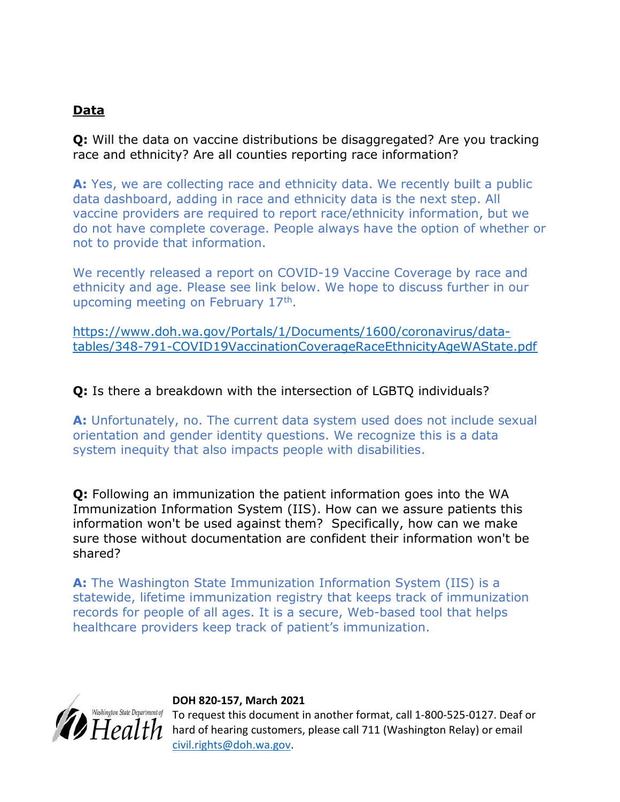# Data

Q: Will the data on vaccine distributions be disaggregated? Are you tracking race and ethnicity? Are all counties reporting race information?

A: Yes, we are collecting race and ethnicity data. We recently built a public data dashboard, adding in race and ethnicity data is the next step. All vaccine providers are required to report race/ethnicity information, but we do not have complete coverage. People always have the option of whether or not to provide that information.

We recently released a report on COVID-19 Vaccine Coverage by race and ethnicity and age. Please see link below. We hope to discuss further in our upcoming meeting on February 17<sup>th</sup>.

https://www.doh.wa.gov/Portals/1/Documents/1600/coronavirus/datatables/348-791-COVID19VaccinationCoverageRaceEthnicityAgeWAState.pdf

## **Q:** Is there a breakdown with the intersection of LGBTO individuals?

A: Unfortunately, no. The current data system used does not include sexual orientation and gender identity questions. We recognize this is a data system inequity that also impacts people with disabilities.

Q: Following an immunization the patient information goes into the WA Immunization Information System (IIS). How can we assure patients this information won't be used against them? Specifically, how can we make sure those without documentation are confident their information won't be shared?

A: The Washington State Immunization Information System (IIS) is a statewide, lifetime immunization registry that keeps track of immunization records for people of all ages. It is a secure, Web-based tool that helps healthcare providers keep track of patient's immunization.



#### DOH 820-157, March 2021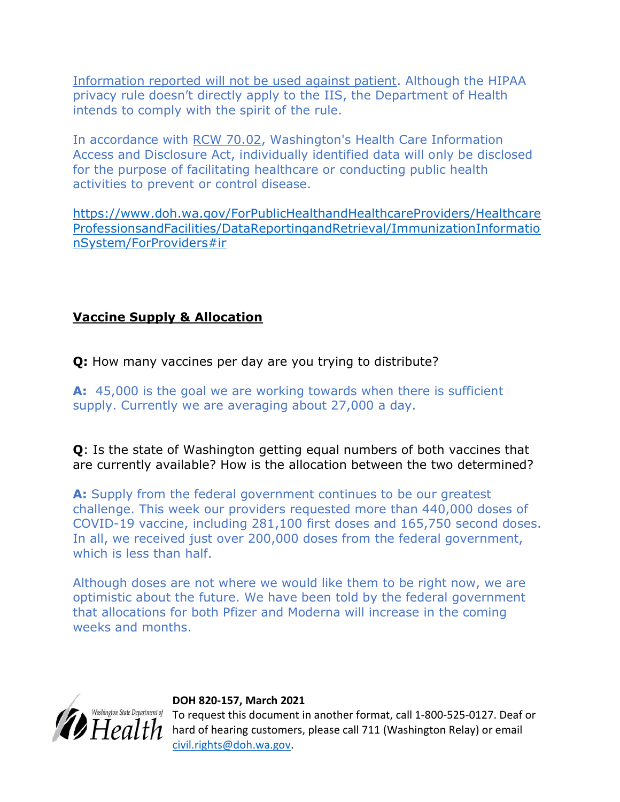Information reported will not be used against patient. Although the HIPAA privacy rule doesn't directly apply to the IIS, the Department of Health intends to comply with the spirit of the rule.

In accordance with RCW 70.02, Washington's Health Care Information Access and Disclosure Act, individually identified data will only be disclosed for the purpose of facilitating healthcare or conducting public health activities to prevent or control disease.

https://www.doh.wa.gov/ForPublicHealthandHealthcareProviders/Healthcare ProfessionsandFacilities/DataReportingandRetrieval/ImmunizationInformatio nSystem/ForProviders#ir

# Vaccine Supply & Allocation

Q: How many vaccines per day are you trying to distribute?

A: 45,000 is the goal we are working towards when there is sufficient supply. Currently we are averaging about 27,000 a day.

Q: Is the state of Washington getting equal numbers of both vaccines that are currently available? How is the allocation between the two determined?

A: Supply from the federal government continues to be our greatest challenge. This week our providers requested more than 440,000 doses of COVID-19 vaccine, including 281,100 first doses and 165,750 second doses. In all, we received just over 200,000 doses from the federal government, which is less than half.

Although doses are not where we would like them to be right now, we are optimistic about the future. We have been told by the federal government that allocations for both Pfizer and Moderna will increase in the coming weeks and months.



## DOH 820-157, March 2021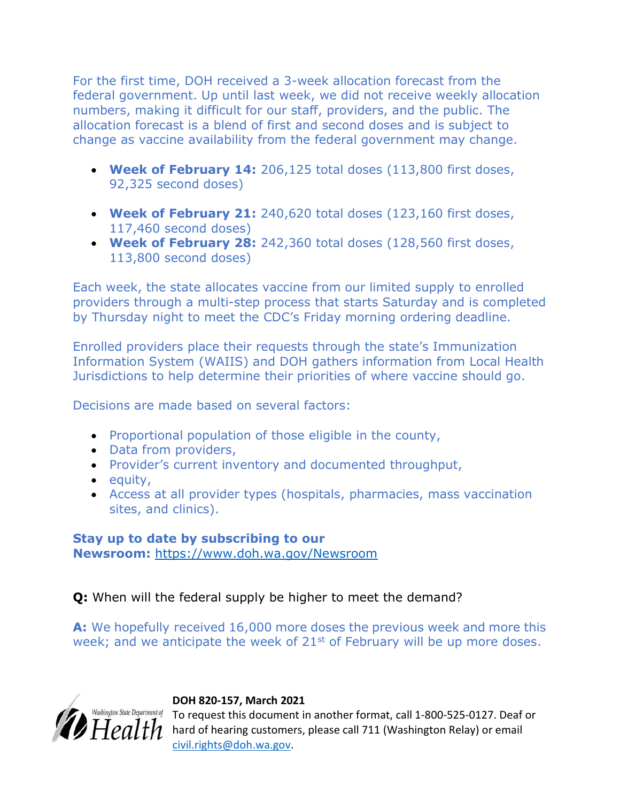For the first time, DOH received a 3-week allocation forecast from the federal government. Up until last week, we did not receive weekly allocation numbers, making it difficult for our staff, providers, and the public. The allocation forecast is a blend of first and second doses and is subject to change as vaccine availability from the federal government may change.

- Week of February 14: 206,125 total doses (113,800 first doses, 92,325 second doses)
- Week of February 21: 240,620 total doses (123,160 first doses, 117,460 second doses)
- Week of February 28: 242,360 total doses (128,560 first doses, 113,800 second doses)

Each week, the state allocates vaccine from our limited supply to enrolled providers through a multi-step process that starts Saturday and is completed by Thursday night to meet the CDC's Friday morning ordering deadline.

Enrolled providers place their requests through the state's Immunization Information System (WAIIS) and DOH gathers information from Local Health Jurisdictions to help determine their priorities of where vaccine should go.

Decisions are made based on several factors:

- Proportional population of those eligible in the county,
- Data from providers,
- Provider's current inventory and documented throughput,
- $\bullet$  equity,
- Access at all provider types (hospitals, pharmacies, mass vaccination sites, and clinics).

## Stay up to date by subscribing to our Newsroom: https://www.doh.wa.gov/Newsroom

# Q: When will the federal supply be higher to meet the demand?

A: We hopefully received 16,000 more doses the previous week and more this week; and we anticipate the week of  $21<sup>st</sup>$  of February will be up more doses.



## DOH 820-157, March 2021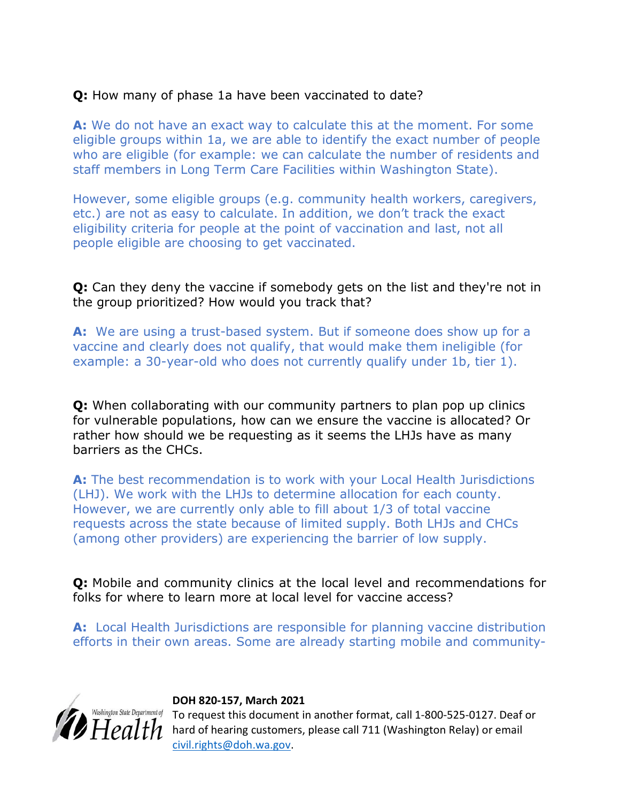# Q: How many of phase 1a have been vaccinated to date?

A: We do not have an exact way to calculate this at the moment. For some eligible groups within 1a, we are able to identify the exact number of people who are eligible (for example: we can calculate the number of residents and staff members in Long Term Care Facilities within Washington State).

However, some eligible groups (e.g. community health workers, caregivers, etc.) are not as easy to calculate. In addition, we don't track the exact eligibility criteria for people at the point of vaccination and last, not all people eligible are choosing to get vaccinated.

Q: Can they deny the vaccine if somebody gets on the list and they're not in the group prioritized? How would you track that?

A: We are using a trust-based system. But if someone does show up for a vaccine and clearly does not qualify, that would make them ineligible (for example: a 30-year-old who does not currently qualify under 1b, tier 1).

**O:** When collaborating with our community partners to plan pop up clinics for vulnerable populations, how can we ensure the vaccine is allocated? Or rather how should we be requesting as it seems the LHJs have as many barriers as the CHCs.

A: The best recommendation is to work with your Local Health Jurisdictions (LHJ). We work with the LHJs to determine allocation for each county. However, we are currently only able to fill about 1/3 of total vaccine requests across the state because of limited supply. Both LHJs and CHCs (among other providers) are experiencing the barrier of low supply.

Q: Mobile and community clinics at the local level and recommendations for folks for where to learn more at local level for vaccine access?

A: Local Health Jurisdictions are responsible for planning vaccine distribution efforts in their own areas. Some are already starting mobile and community-



#### DOH 820-157, March 2021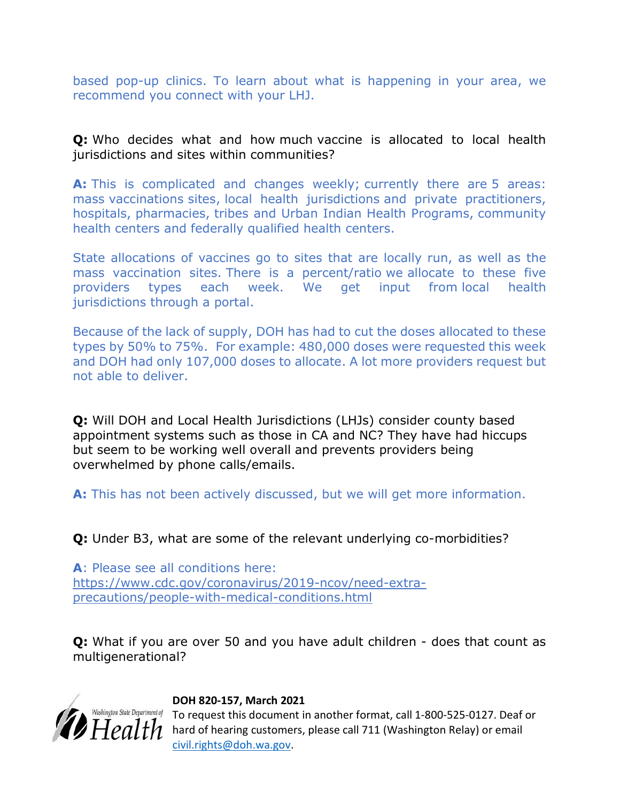based pop-up clinics. To learn about what is happening in your area, we recommend you connect with your LHJ.

Q: Who decides what and how much vaccine is allocated to local health jurisdictions and sites within communities?

A: This is complicated and changes weekly; currently there are 5 areas: mass vaccinations sites, local health jurisdictions and private practitioners, hospitals, pharmacies, tribes and Urban Indian Health Programs, community health centers and federally qualified health centers.

State allocations of vaccines go to sites that are locally run, as well as the mass vaccination sites. There is a percent/ratio we allocate to these five providers types each week. We get input from local health jurisdictions through a portal.

Because of the lack of supply, DOH has had to cut the doses allocated to these types by 50% to 75%. For example: 480,000 doses were requested this week and DOH had only 107,000 doses to allocate. A lot more providers request but not able to deliver.

Q: Will DOH and Local Health Jurisdictions (LHJs) consider county based appointment systems such as those in CA and NC? They have had hiccups but seem to be working well overall and prevents providers being overwhelmed by phone calls/emails.

A: This has not been actively discussed, but we will get more information.

Q: Under B3, what are some of the relevant underlying co-morbidities?

A: Please see all conditions here: https://www.cdc.gov/coronavirus/2019-ncov/need-extraprecautions/people-with-medical-conditions.html

**Q:** What if you are over 50 and you have adult children - does that count as multigenerational?



## DOH 820-157, March 2021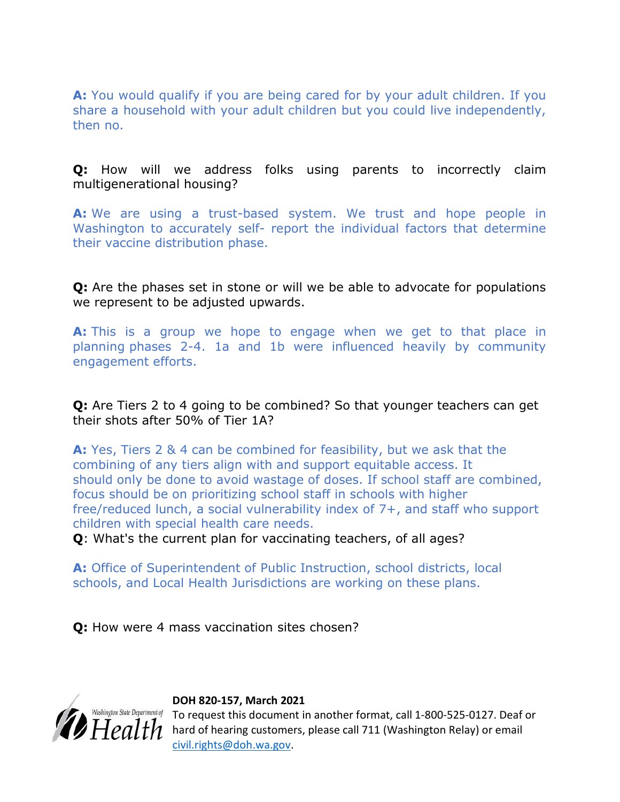A: You would qualify if you are being cared for by your adult children. If you share a household with your adult children but you could live independently, then no.

## Q: How will we address folks using parents to incorrectly claim multigenerational housing?

A: We are using a trust-based system. We trust and hope people in Washington to accurately self- report the individual factors that determine their vaccine distribution phase.

Q: Are the phases set in stone or will we be able to advocate for populations we represent to be adjusted upwards.

A: This is a group we hope to engage when we get to that place in planning phases 2-4. 1a and 1b were influenced heavily by community engagement efforts.

**Q:** Are Tiers 2 to 4 going to be combined? So that younger teachers can get their shots after 50% of Tier 1A?

A: Yes, Tiers 2 & 4 can be combined for feasibility, but we ask that the combining of any tiers align with and support equitable access. It should only be done to avoid wastage of doses. If school staff are combined, focus should be on prioritizing school staff in schools with higher free/reduced lunch, a social vulnerability index of 7+, and staff who support children with special health care needs.

Q: What's the current plan for vaccinating teachers, of all ages?

A: Office of Superintendent of Public Instruction, school districts, local schools, and Local Health Jurisdictions are working on these plans.

Q: How were 4 mass vaccination sites chosen?

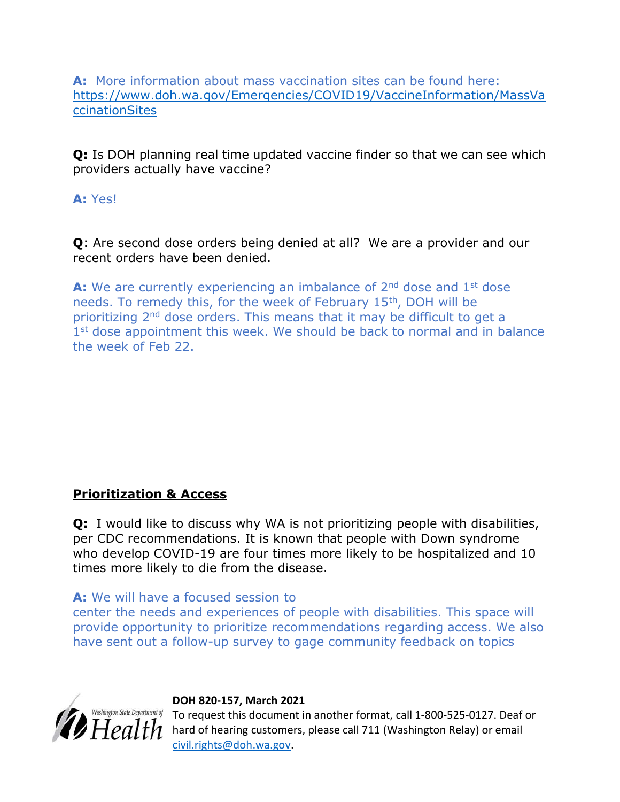A: More information about mass vaccination sites can be found here: https://www.doh.wa.gov/Emergencies/COVID19/VaccineInformation/MassVa ccinationSites

**Q:** Is DOH planning real time updated vaccine finder so that we can see which providers actually have vaccine?

A: Yes!

Q: Are second dose orders being denied at all? We are a provider and our recent orders have been denied.

A: We are currently experiencing an imbalance of  $2<sup>nd</sup>$  dose and  $1<sup>st</sup>$  dose needs. To remedy this, for the week of February 15th, DOH will be prioritizing 2nd dose orders. This means that it may be difficult to get a 1<sup>st</sup> dose appointment this week. We should be back to normal and in balance the week of Feb 22.

# Prioritization & Access

**Q:** I would like to discuss why WA is not prioritizing people with disabilities, per CDC recommendations. It is known that people with Down syndrome who develop COVID-19 are four times more likely to be hospitalized and 10 times more likely to die from the disease.

A: We will have a focused session to

center the needs and experiences of people with disabilities. This space will provide opportunity to prioritize recommendations regarding access. We also have sent out a follow-up survey to gage community feedback on topics



## DOH 820-157, March 2021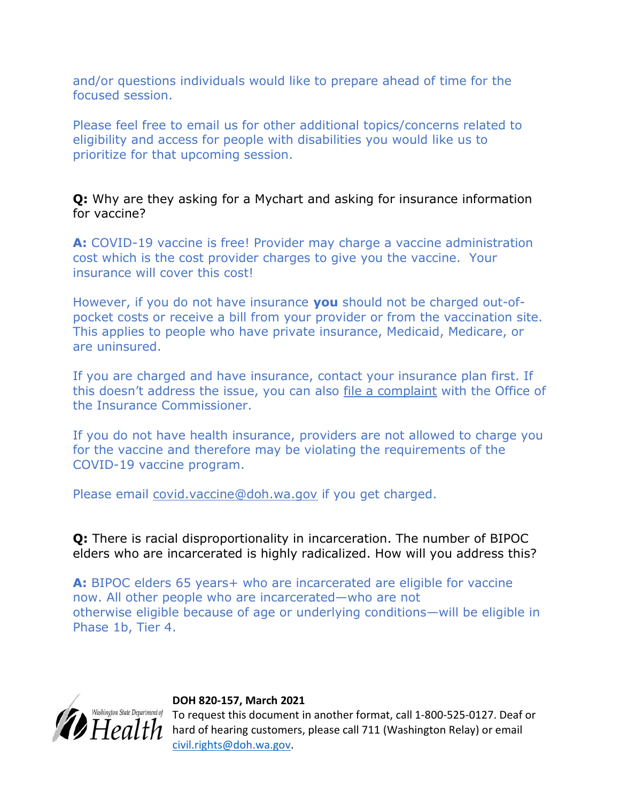and/or questions individuals would like to prepare ahead of time for the focused session.

Please feel free to email us for other additional topics/concerns related to eligibility and access for people with disabilities you would like us to prioritize for that upcoming session.

Q: Why are they asking for a Mychart and asking for insurance information for vaccine?

A: COVID-19 vaccine is free! Provider may charge a vaccine administration cost which is the cost provider charges to give you the vaccine. Your insurance will cover this cost!

However, if you do not have insurance you should not be charged out-ofpocket costs or receive a bill from your provider or from the vaccination site. This applies to people who have private insurance, Medicaid, Medicare, or are uninsured.

If you are charged and have insurance, contact your insurance plan first. If this doesn't address the issue, you can also file a complaint with the Office of the Insurance Commissioner.

If you do not have health insurance, providers are not allowed to charge you for the vaccine and therefore may be violating the requirements of the COVID-19 vaccine program.

Please email covid.vaccine@doh.wa.gov if you get charged.

Q: There is racial disproportionality in incarceration. The number of BIPOC elders who are incarcerated is highly radicalized. How will you address this?

A: BIPOC elders 65 years+ who are incarcerated are eligible for vaccine now. All other people who are incarcerated—who are not otherwise eligible because of age or underlying conditions—will be eligible in Phase 1b, Tier 4.



## DOH 820-157, March 2021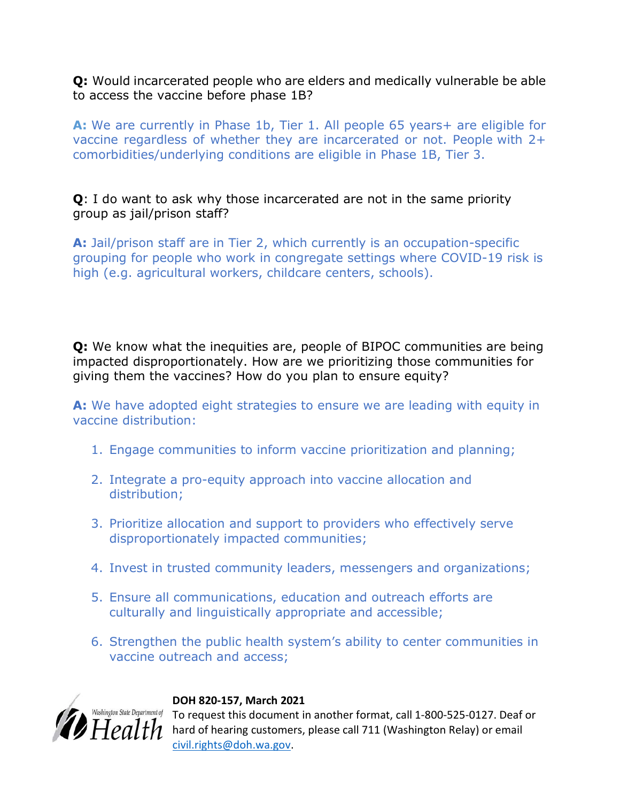Q: Would incarcerated people who are elders and medically vulnerable be able to access the vaccine before phase 1B?

A: We are currently in Phase 1b, Tier 1. All people 65 years+ are eligible for vaccine regardless of whether they are incarcerated or not. People with 2+ comorbidities/underlying conditions are eligible in Phase 1B, Tier 3.

Q: I do want to ask why those incarcerated are not in the same priority group as jail/prison staff?

A: Jail/prison staff are in Tier 2, which currently is an occupation-specific grouping for people who work in congregate settings where COVID-19 risk is high (e.g. agricultural workers, childcare centers, schools).

Q: We know what the inequities are, people of BIPOC communities are being impacted disproportionately. How are we prioritizing those communities for giving them the vaccines? How do you plan to ensure equity?

A: We have adopted eight strategies to ensure we are leading with equity in vaccine distribution:

- 1. Engage communities to inform vaccine prioritization and planning;
- 2. Integrate a pro-equity approach into vaccine allocation and distribution;
- 3. Prioritize allocation and support to providers who effectively serve disproportionately impacted communities;
- 4. Invest in trusted community leaders, messengers and organizations;
- 5. Ensure all communications, education and outreach efforts are culturally and linguistically appropriate and accessible;
- 6. Strengthen the public health system's ability to center communities in vaccine outreach and access;



## DOH 820-157, March 2021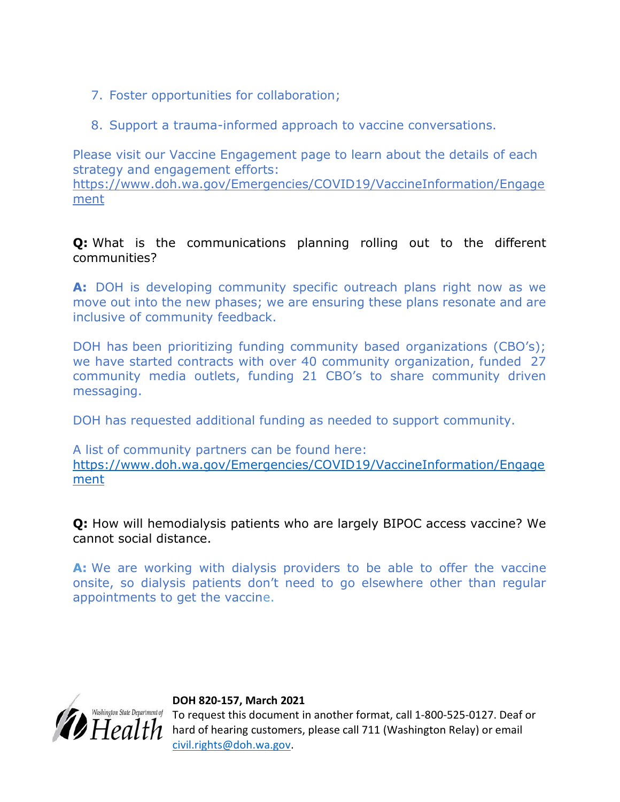- 7. Foster opportunities for collaboration;
- 8. Support a trauma-informed approach to vaccine conversations.

Please visit our Vaccine Engagement page to learn about the details of each strategy and engagement efforts: https://www.doh.wa.gov/Emergencies/COVID19/VaccineInformation/Engage

ment

**Q:** What is the communications planning rolling out to the different communities?

A: DOH is developing community specific outreach plans right now as we move out into the new phases; we are ensuring these plans resonate and are inclusive of community feedback.

DOH has been prioritizing funding community based organizations (CBO's); we have started contracts with over 40 community organization, funded 27 community media outlets, funding 21 CBO's to share community driven messaging.

DOH has requested additional funding as needed to support community.

A list of community partners can be found here: https://www.doh.wa.gov/Emergencies/COVID19/VaccineInformation/Engage ment

Q: How will hemodialysis patients who are largely BIPOC access vaccine? We cannot social distance.

A: We are working with dialysis providers to be able to offer the vaccine onsite, so dialysis patients don't need to go elsewhere other than regular appointments to get the vaccine.



## DOH 820-157, March 2021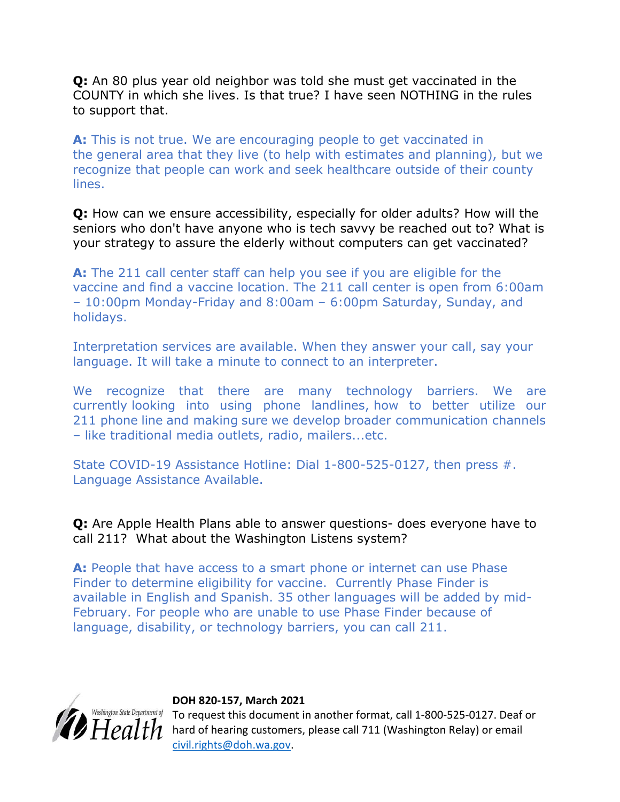**Q:** An 80 plus year old neighbor was told she must get vaccinated in the COUNTY in which she lives. Is that true? I have seen NOTHING in the rules to support that.

A: This is not true. We are encouraging people to get vaccinated in the general area that they live (to help with estimates and planning), but we recognize that people can work and seek healthcare outside of their county lines.

Q: How can we ensure accessibility, especially for older adults? How will the seniors who don't have anyone who is tech savvy be reached out to? What is your strategy to assure the elderly without computers can get vaccinated?

A: The 211 call center staff can help you see if you are eligible for the vaccine and find a vaccine location. The 211 call center is open from 6:00am – 10:00pm Monday-Friday and 8:00am – 6:00pm Saturday, Sunday, and holidays.

Interpretation services are available. When they answer your call, say your language. It will take a minute to connect to an interpreter.

We recognize that there are many technology barriers. We are currently looking into using phone landlines, how to better utilize our 211 phone line and making sure we develop broader communication channels – like traditional media outlets, radio, mailers...etc.

State COVID-19 Assistance Hotline: Dial 1-800-525-0127, then press #. Language Assistance Available.

Q: Are Apple Health Plans able to answer questions- does everyone have to call 211? What about the Washington Listens system?

A: People that have access to a smart phone or internet can use Phase Finder to determine eligibility for vaccine. Currently Phase Finder is available in English and Spanish. 35 other languages will be added by mid-February. For people who are unable to use Phase Finder because of language, disability, or technology barriers, you can call 211.



## DOH 820-157, March 2021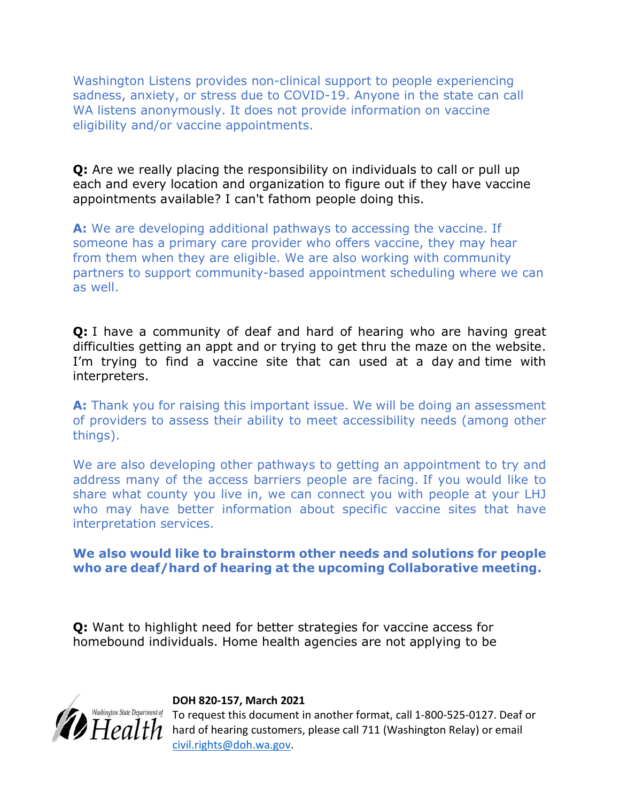Washington Listens provides non-clinical support to people experiencing sadness, anxiety, or stress due to COVID-19. Anyone in the state can call WA listens anonymously. It does not provide information on vaccine eligibility and/or vaccine appointments.

**Q:** Are we really placing the responsibility on individuals to call or pull up each and every location and organization to figure out if they have vaccine appointments available? I can't fathom people doing this.

A: We are developing additional pathways to accessing the vaccine. If someone has a primary care provider who offers vaccine, they may hear from them when they are eligible. We are also working with community partners to support community-based appointment scheduling where we can as well.

**Q:** I have a community of deaf and hard of hearing who are having great difficulties getting an appt and or trying to get thru the maze on the website. I'm trying to find a vaccine site that can used at a day and time with interpreters.

A: Thank you for raising this important issue. We will be doing an assessment of providers to assess their ability to meet accessibility needs (among other things).

We are also developing other pathways to getting an appointment to try and address many of the access barriers people are facing. If you would like to share what county you live in, we can connect you with people at your LHJ who may have better information about specific vaccine sites that have interpretation services.

## We also would like to brainstorm other needs and solutions for people who are deaf/hard of hearing at the upcoming Collaborative meeting.

Q: Want to highlight need for better strategies for vaccine access for homebound individuals. Home health agencies are not applying to be



#### DOH 820-157, March 2021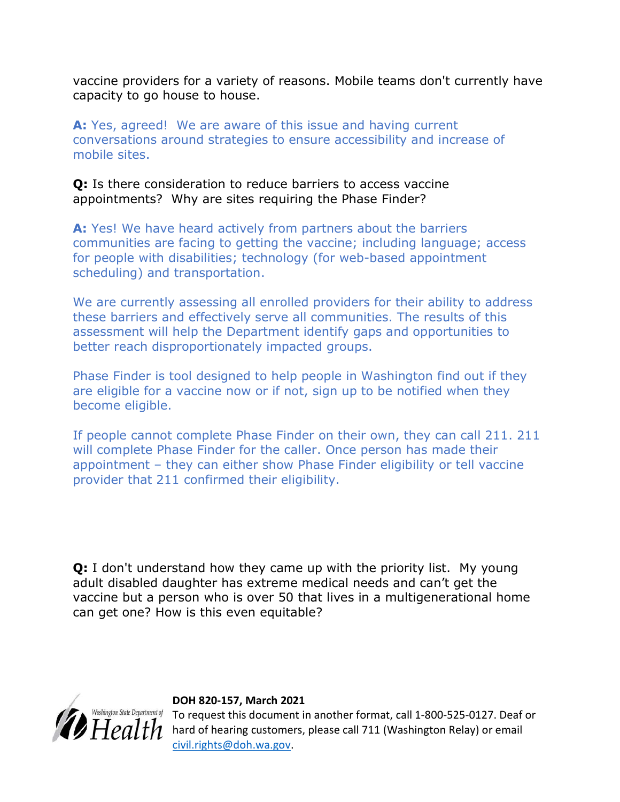vaccine providers for a variety of reasons. Mobile teams don't currently have capacity to go house to house.

A: Yes, agreed! We are aware of this issue and having current conversations around strategies to ensure accessibility and increase of mobile sites.

Q: Is there consideration to reduce barriers to access vaccine appointments? Why are sites requiring the Phase Finder?

A: Yes! We have heard actively from partners about the barriers communities are facing to getting the vaccine; including language; access for people with disabilities; technology (for web-based appointment scheduling) and transportation.

We are currently assessing all enrolled providers for their ability to address these barriers and effectively serve all communities. The results of this assessment will help the Department identify gaps and opportunities to better reach disproportionately impacted groups.

Phase Finder is tool designed to help people in Washington find out if they are eligible for a vaccine now or if not, sign up to be notified when they become eligible.

If people cannot complete Phase Finder on their own, they can call 211. 211 will complete Phase Finder for the caller. Once person has made their appointment – they can either show Phase Finder eligibility or tell vaccine provider that 211 confirmed their eligibility.

**Q:** I don't understand how they came up with the priority list. My young adult disabled daughter has extreme medical needs and can't get the vaccine but a person who is over 50 that lives in a multigenerational home can get one? How is this even equitable?



#### DOH 820-157, March 2021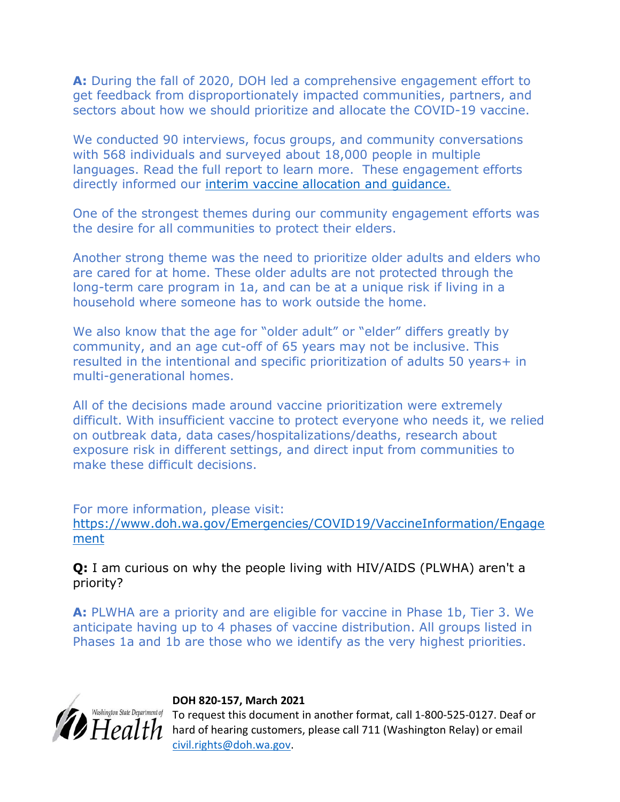A: During the fall of 2020, DOH led a comprehensive engagement effort to get feedback from disproportionately impacted communities, partners, and sectors about how we should prioritize and allocate the COVID-19 vaccine.

We conducted 90 interviews, focus groups, and community conversations with 568 individuals and surveyed about 18,000 people in multiple languages. Read the full report to learn more. These engagement efforts directly informed our interim vaccine allocation and guidance.

One of the strongest themes during our community engagement efforts was the desire for all communities to protect their elders.

Another strong theme was the need to prioritize older adults and elders who are cared for at home. These older adults are not protected through the long-term care program in 1a, and can be at a unique risk if living in a household where someone has to work outside the home.

We also know that the age for "older adult" or "elder" differs greatly by community, and an age cut-off of 65 years may not be inclusive. This resulted in the intentional and specific prioritization of adults 50 years+ in multi-generational homes.

All of the decisions made around vaccine prioritization were extremely difficult. With insufficient vaccine to protect everyone who needs it, we relied on outbreak data, data cases/hospitalizations/deaths, research about exposure risk in different settings, and direct input from communities to make these difficult decisions.

For more information, please visit: https://www.doh.wa.gov/Emergencies/COVID19/VaccineInformation/Engage ment

Q: I am curious on why the people living with HIV/AIDS (PLWHA) aren't a priority?

A: PLWHA are a priority and are eligible for vaccine in Phase 1b, Tier 3. We anticipate having up to 4 phases of vaccine distribution. All groups listed in Phases 1a and 1b are those who we identify as the very highest priorities.



## DOH 820-157, March 2021